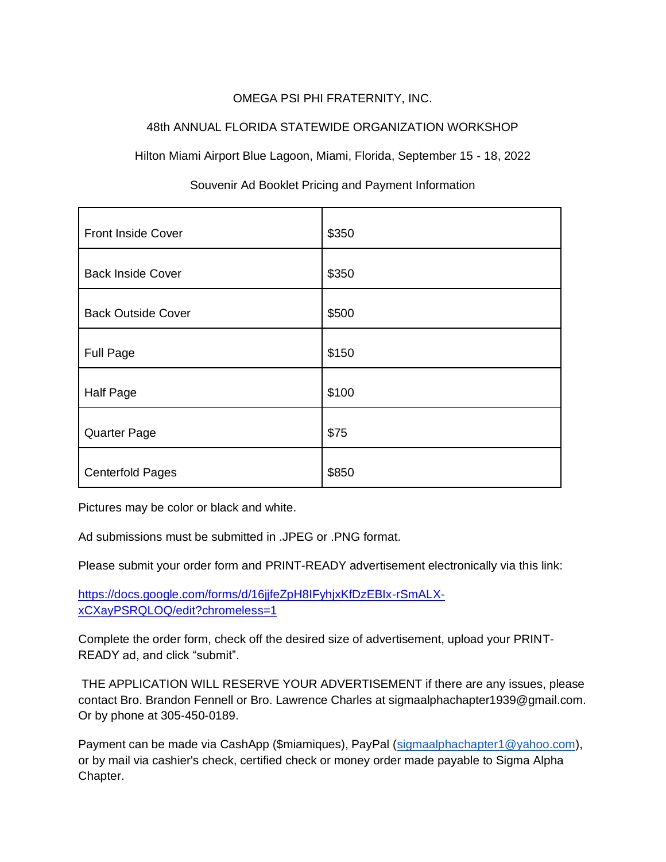# OMEGA PSI PHI FRATERNITY, INC.

# 48th ANNUAL FLORIDA STATEWIDE ORGANIZATION WORKSHOP

Hilton Miami Airport Blue Lagoon, Miami, Florida, September 15 - 18, 2022

| Front Inside Cover        | \$350 |
|---------------------------|-------|
| <b>Back Inside Cover</b>  | \$350 |
| <b>Back Outside Cover</b> | \$500 |
| <b>Full Page</b>          | \$150 |
| Half Page                 | \$100 |
| <b>Quarter Page</b>       | \$75  |
| <b>Centerfold Pages</b>   | \$850 |

# Souvenir Ad Booklet Pricing and Payment Information

Pictures may be color or black and white.

Ad submissions must be submitted in .JPEG or .PNG format.

Please submit your order form and PRINT-READY advertisement electronically via this link:

[https://docs.google.com/forms/d/16jjfeZpH8IFyhjxKfDzEBIx-rSmALX](https://docs.google.com/forms/d/16jjfeZpH8IFyhjxKfDzEBIx-rSmALX-xCXayPSRQLOQ/edit?chromeless=1)[xCXayPSRQLOQ/edit?chromeless=1](https://docs.google.com/forms/d/16jjfeZpH8IFyhjxKfDzEBIx-rSmALX-xCXayPSRQLOQ/edit?chromeless=1)

Complete the order form, check off the desired size of advertisement, upload your PRINT-READY ad, and click "submit".

THE APPLICATION WILL RESERVE YOUR ADVERTISEMENT if there are any issues, please contact Bro. Brandon Fennell or Bro. Lawrence Charles at sigmaalphachapter1939@gmail.com. Or by phone at 305-450-0189.

Payment can be made via CashApp (\$miamiques), PayPal [\(sigmaalphachapter1@yahoo.com\)](mailto:sigmaalphachapter1@yahoo.com), or by mail via cashier's check, certified check or money order made payable to Sigma Alpha Chapter.